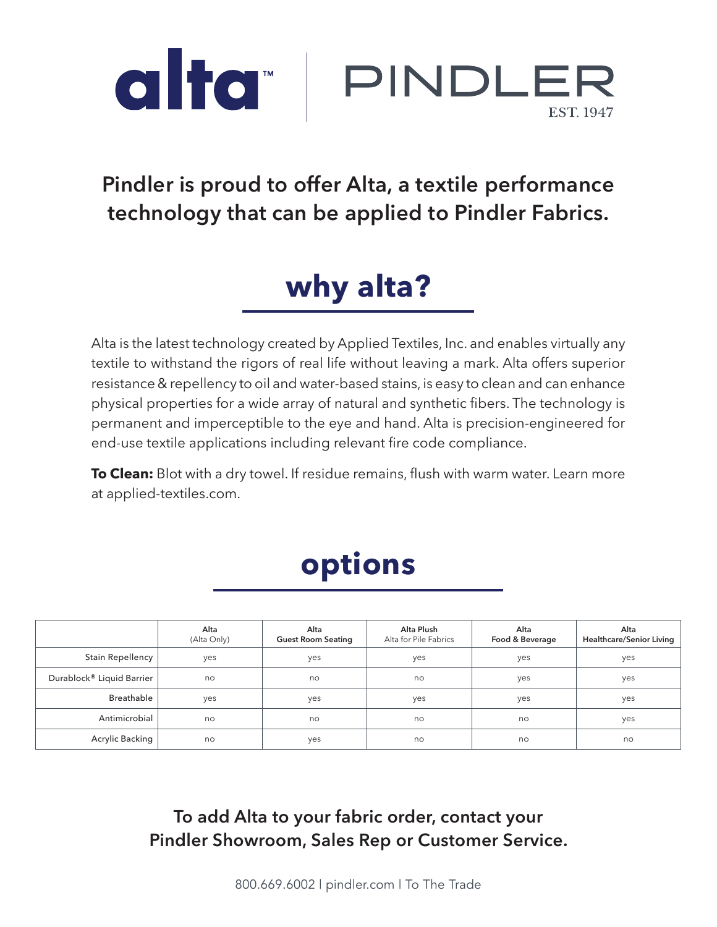

#### **Pindler is proud to offer Alta, a textile performance technology that can be applied to Pindler Fabrics.**

## **why alta?**

Alta is the latest technology created by Applied Textiles, Inc. and enables virtually any textile to withstand the rigors of real life without leaving a mark. Alta offers superior resistance & repellency to oil and water-based stains, is easy to clean and can enhance physical properties for a wide array of natural and synthetic fibers. The technology is permanent and imperceptible to the eye and hand. Alta is precision-engineered for end-use textile applications including relevant fire code compliance.

**To Clean:** Blot with a dry towel. If residue remains, flush with warm water. Learn more at applied-textiles.com.

# **options**

|                           | Alta<br>(Alta Only) | Alta<br><b>Guest Room Seating</b> | Alta Plush<br>Alta for Pile Fabrics | Alta<br>Food & Beverage | Alta<br><b>Healthcare/Senior Living</b> |
|---------------------------|---------------------|-----------------------------------|-------------------------------------|-------------------------|-----------------------------------------|
| <b>Stain Repellency</b>   | yes                 | yes                               | yes                                 | yes                     | yes                                     |
| Durablock® Liquid Barrier | no                  | no                                | no                                  | yes                     | yes                                     |
| <b>Breathable</b>         | yes                 | yes                               | yes                                 | yes                     | yes                                     |
| Antimicrobial             | no                  | no                                | no                                  | no                      | yes                                     |
| Acrylic Backing           | no                  | yes                               | no                                  | no                      | no                                      |

**To add Alta to your fabric order, contact your Pindler Showroom, Sales Rep or Customer Service.**